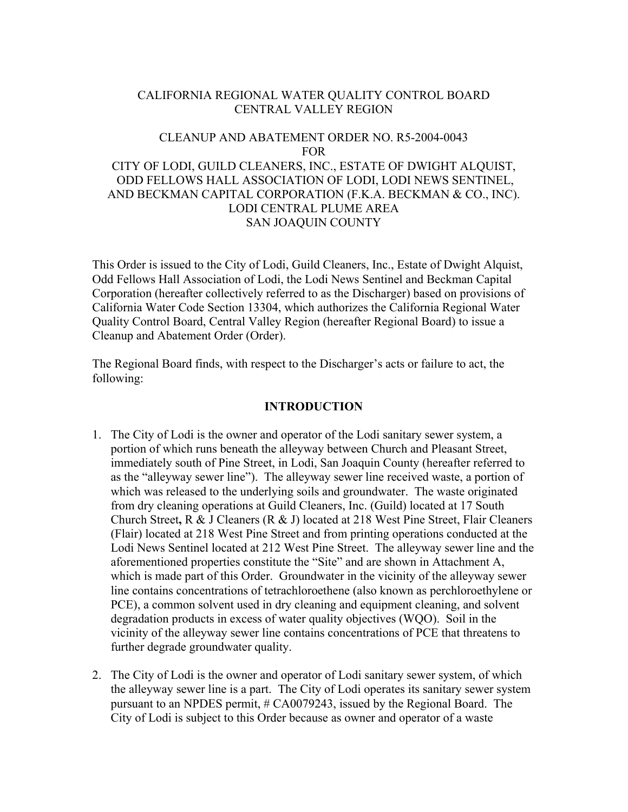## CALIFORNIA REGIONAL WATER QUALITY CONTROL BOARD CENTRAL VALLEY REGION

# CLEANUP AND ABATEMENT ORDER NO. R5-2004-0043 FOR CITY OF LODI, GUILD CLEANERS, INC., ESTATE OF DWIGHT ALQUIST, ODD FELLOWS HALL ASSOCIATION OF LODI, LODI NEWS SENTINEL, AND BECKMAN CAPITAL CORPORATION (F.K.A. BECKMAN & CO., INC). LODI CENTRAL PLUME AREA SAN JOAQUIN COUNTY

This Order is issued to the City of Lodi, Guild Cleaners, Inc., Estate of Dwight Alquist, Odd Fellows Hall Association of Lodi, the Lodi News Sentinel and Beckman Capital Corporation (hereafter collectively referred to as the Discharger) based on provisions of California Water Code Section 13304, which authorizes the California Regional Water Quality Control Board, Central Valley Region (hereafter Regional Board) to issue a Cleanup and Abatement Order (Order).

The Regional Board finds, with respect to the Discharger's acts or failure to act, the following:

#### **INTRODUCTION**

- 1. The City of Lodi is the owner and operator of the Lodi sanitary sewer system, a portion of which runs beneath the alleyway between Church and Pleasant Street, immediately south of Pine Street, in Lodi, San Joaquin County (hereafter referred to as the "alleyway sewer line"). The alleyway sewer line received waste, a portion of which was released to the underlying soils and groundwater. The waste originated from dry cleaning operations at Guild Cleaners, Inc. (Guild) located at 17 South Church Street**,** R & J Cleaners (R & J) located at 218 West Pine Street, Flair Cleaners (Flair) located at 218 West Pine Street and from printing operations conducted at the Lodi News Sentinel located at 212 West Pine Street. The alleyway sewer line and the aforementioned properties constitute the "Site" and are shown in Attachment A, which is made part of this Order. Groundwater in the vicinity of the alleyway sewer line contains concentrations of tetrachloroethene (also known as perchloroethylene or PCE), a common solvent used in dry cleaning and equipment cleaning, and solvent degradation products in excess of water quality objectives (WQO). Soil in the vicinity of the alleyway sewer line contains concentrations of PCE that threatens to further degrade groundwater quality.
- 2. The City of Lodi is the owner and operator of Lodi sanitary sewer system, of which the alleyway sewer line is a part. The City of Lodi operates its sanitary sewer system pursuant to an NPDES permit, # CA0079243, issued by the Regional Board. The City of Lodi is subject to this Order because as owner and operator of a waste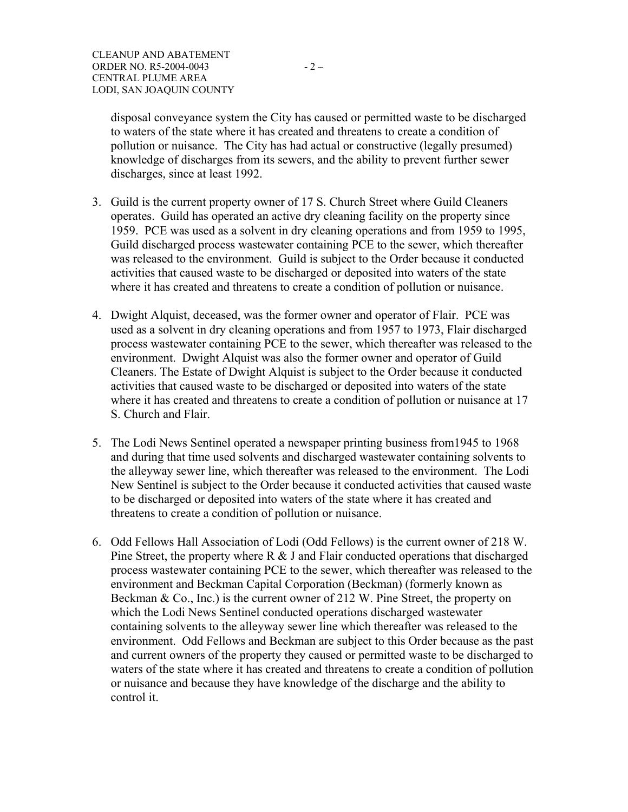disposal conveyance system the City has caused or permitted waste to be discharged to waters of the state where it has created and threatens to create a condition of pollution or nuisance. The City has had actual or constructive (legally presumed) knowledge of discharges from its sewers, and the ability to prevent further sewer discharges, since at least 1992.

- 3. Guild is the current property owner of 17 S. Church Street where Guild Cleaners operates. Guild has operated an active dry cleaning facility on the property since 1959. PCE was used as a solvent in dry cleaning operations and from 1959 to 1995, Guild discharged process wastewater containing PCE to the sewer, which thereafter was released to the environment. Guild is subject to the Order because it conducted activities that caused waste to be discharged or deposited into waters of the state where it has created and threatens to create a condition of pollution or nuisance.
- 4. Dwight Alquist, deceased, was the former owner and operator of Flair. PCE was used as a solvent in dry cleaning operations and from 1957 to 1973, Flair discharged process wastewater containing PCE to the sewer, which thereafter was released to the environment. Dwight Alquist was also the former owner and operator of Guild Cleaners. The Estate of Dwight Alquist is subject to the Order because it conducted activities that caused waste to be discharged or deposited into waters of the state where it has created and threatens to create a condition of pollution or nuisance at 17 S. Church and Flair.
- 5. The Lodi News Sentinel operated a newspaper printing business from1945 to 1968 and during that time used solvents and discharged wastewater containing solvents to the alleyway sewer line, which thereafter was released to the environment. The Lodi New Sentinel is subject to the Order because it conducted activities that caused waste to be discharged or deposited into waters of the state where it has created and threatens to create a condition of pollution or nuisance.
- 6. Odd Fellows Hall Association of Lodi (Odd Fellows) is the current owner of 218 W. Pine Street, the property where R & J and Flair conducted operations that discharged process wastewater containing PCE to the sewer, which thereafter was released to the environment and Beckman Capital Corporation (Beckman) (formerly known as Beckman & Co., Inc.) is the current owner of 212 W. Pine Street, the property on which the Lodi News Sentinel conducted operations discharged wastewater containing solvents to the alleyway sewer line which thereafter was released to the environment. Odd Fellows and Beckman are subject to this Order because as the past and current owners of the property they caused or permitted waste to be discharged to waters of the state where it has created and threatens to create a condition of pollution or nuisance and because they have knowledge of the discharge and the ability to control it.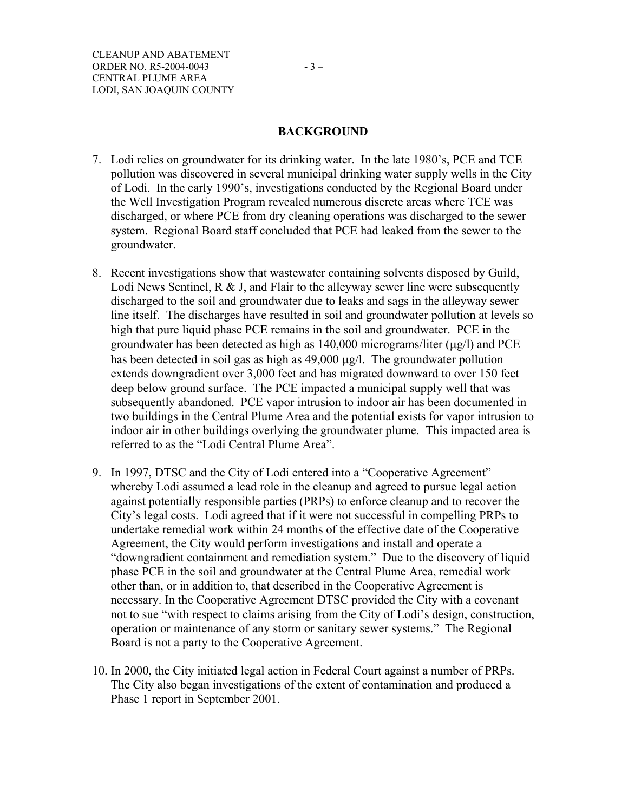### **BACKGROUND**

- 7. Lodi relies on groundwater for its drinking water. In the late 1980's, PCE and TCE pollution was discovered in several municipal drinking water supply wells in the City of Lodi. In the early 1990's, investigations conducted by the Regional Board under the Well Investigation Program revealed numerous discrete areas where TCE was discharged, or where PCE from dry cleaning operations was discharged to the sewer system. Regional Board staff concluded that PCE had leaked from the sewer to the groundwater.
- 8. Recent investigations show that wastewater containing solvents disposed by Guild, Lodi News Sentinel, R & J, and Flair to the alleyway sewer line were subsequently discharged to the soil and groundwater due to leaks and sags in the alleyway sewer line itself. The discharges have resulted in soil and groundwater pollution at levels so high that pure liquid phase PCE remains in the soil and groundwater. PCE in the groundwater has been detected as high as  $140,000$  micrograms/liter ( $\mu$ g/l) and PCE has been detected in soil gas as high as  $49,000 \mu g/l$ . The groundwater pollution extends downgradient over 3,000 feet and has migrated downward to over 150 feet deep below ground surface. The PCE impacted a municipal supply well that was subsequently abandoned. PCE vapor intrusion to indoor air has been documented in two buildings in the Central Plume Area and the potential exists for vapor intrusion to indoor air in other buildings overlying the groundwater plume. This impacted area is referred to as the "Lodi Central Plume Area".
- 9. In 1997, DTSC and the City of Lodi entered into a "Cooperative Agreement" whereby Lodi assumed a lead role in the cleanup and agreed to pursue legal action against potentially responsible parties (PRPs) to enforce cleanup and to recover the City's legal costs. Lodi agreed that if it were not successful in compelling PRPs to undertake remedial work within 24 months of the effective date of the Cooperative Agreement, the City would perform investigations and install and operate a "downgradient containment and remediation system." Due to the discovery of liquid phase PCE in the soil and groundwater at the Central Plume Area, remedial work other than, or in addition to, that described in the Cooperative Agreement is necessary. In the Cooperative Agreement DTSC provided the City with a covenant not to sue "with respect to claims arising from the City of Lodi's design, construction, operation or maintenance of any storm or sanitary sewer systems." The Regional Board is not a party to the Cooperative Agreement.
- 10. In 2000, the City initiated legal action in Federal Court against a number of PRPs. The City also began investigations of the extent of contamination and produced a Phase 1 report in September 2001.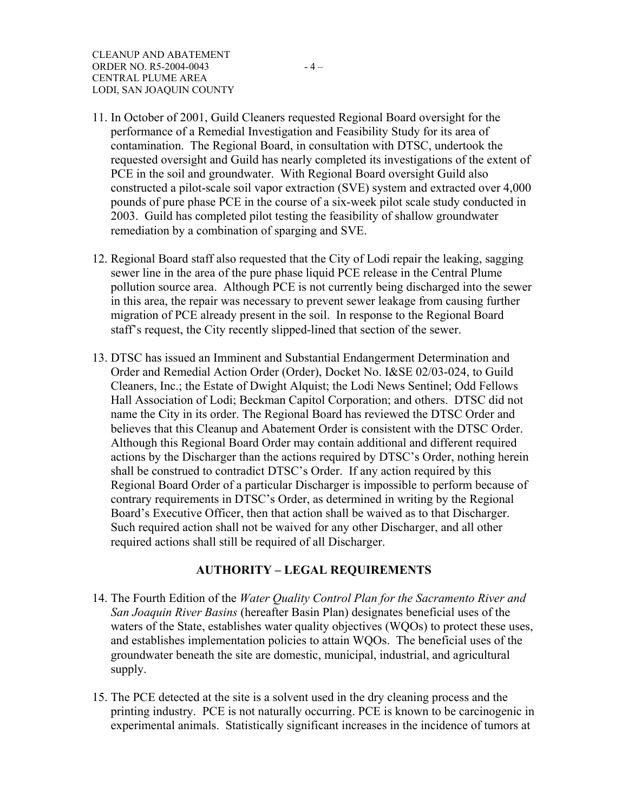- 11. In October of 2001, Guild Cleaners requested Regional Board oversight for the performance of a Remedial Investigation and Feasibility Study for its area of contamination. The Regional Board, in consultation with DTSC, undertook the requested oversight and Guild has nearly completed its investigations of the extent of PCE in the soil and groundwater. With Regional Board oversight Guild also constructed a pilot-scale soil vapor extraction (SVE) system and extracted over 4,000 pounds of pure phase PCE in the course of a six-week pilot scale study conducted in 2003. Guild has completed pilot testing the feasibility of shallow groundwater remediation by a combination of sparging and SVE.
- 12. Regional Board staff also requested that the City of Lodi repair the leaking, sagging sewer line in the area of the pure phase liquid PCE release in the Central Plume pollution source area. Although PCE is not currently being discharged into the sewer in this area, the repair was necessary to prevent sewer leakage from causing further migration of PCE already present in the soil. In response to the Regional Board staff's request, the City recently slipped-lined that section of the sewer.
- 13. DTSC has issued an Imminent and Substantial Endangerment Determination and Order and Remedial Action Order (Order), Docket No. I&SE 02/03-024, to Guild Cleaners, Inc.; the Estate of Dwight Alquist; the Lodi News Sentinel; Odd Fellows Hall Association of Lodi; Beckman Capitol Corporation; and others. DTSC did not name the City in its order. The Regional Board has reviewed the DTSC Order and believes that this Cleanup and Abatement Order is consistent with the DTSC Order. Although this Regional Board Order may contain additional and different required actions by the Discharger than the actions required by DTSC's Order, nothing herein shall be construed to contradict DTSC's Order. If any action required by this Regional Board Order of a particular Discharger is impossible to perform because of contrary requirements in DTSC's Order, as determined in writing by the Regional Board's Executive Officer, then that action shall be waived as to that Discharger. Such required action shall not be waived for any other Discharger, and all other required actions shall still be required of all Discharger.

### **AUTHORITY – LEGAL REQUIREMENTS**

- 14. The Fourth Edition of the *Water Quality Control Plan for the Sacramento River and San Joaquin River Basins* (hereafter Basin Plan) designates beneficial uses of the waters of the State, establishes water quality objectives (WQOs) to protect these uses, and establishes implementation policies to attain WQOs. The beneficial uses of the groundwater beneath the site are domestic, municipal, industrial, and agricultural supply.
- 15. The PCE detected at the site is a solvent used in the dry cleaning process and the printing industry. PCE is not naturally occurring. PCE is known to be carcinogenic in experimental animals. Statistically significant increases in the incidence of tumors at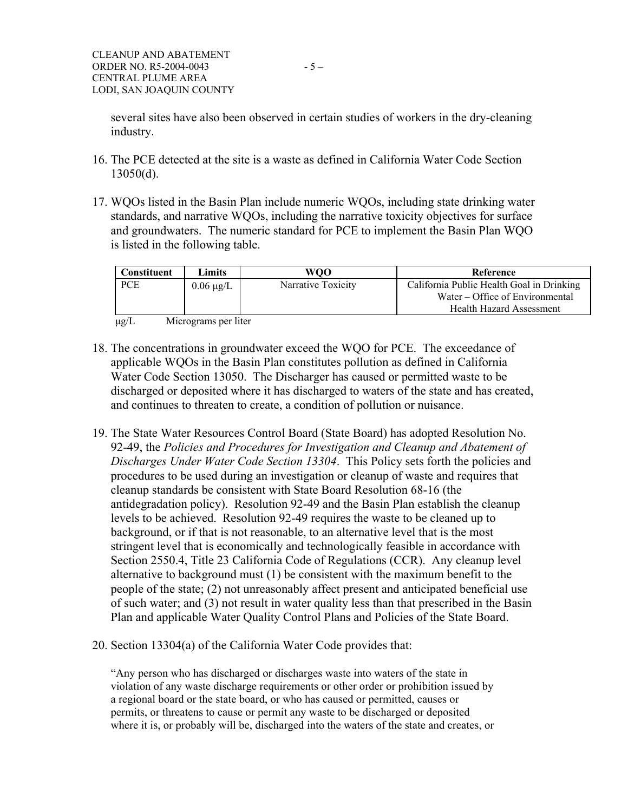several sites have also been observed in certain studies of workers in the dry-cleaning industry.

- 16. The PCE detected at the site is a waste as defined in California Water Code Section 13050(d).
- 17. WQOs listed in the Basin Plan include numeric WQOs, including state drinking water standards, and narrative WQOs, including the narrative toxicity objectives for surface and groundwaters. The numeric standard for PCE to implement the Basin Plan WQO is listed in the following table.

| <b>Constituent</b> | Limits         | WOO                | Reference                                                                                                       |
|--------------------|----------------|--------------------|-----------------------------------------------------------------------------------------------------------------|
| <b>PCE</b>         | $0.06 \mu g/L$ | Narrative Toxicity | California Public Health Goal in Drinking<br>Water – Office of Environmental<br><b>Health Hazard Assessment</b> |

µg/L Micrograms per liter

- 18. The concentrations in groundwater exceed the WQO for PCE. The exceedance of applicable WQOs in the Basin Plan constitutes pollution as defined in California Water Code Section 13050. The Discharger has caused or permitted waste to be discharged or deposited where it has discharged to waters of the state and has created, and continues to threaten to create, a condition of pollution or nuisance.
- 19. The State Water Resources Control Board (State Board) has adopted Resolution No. 92-49, the *Policies and Procedures for Investigation and Cleanup and Abatement of Discharges Under Water Code Section 13304*. This Policy sets forth the policies and procedures to be used during an investigation or cleanup of waste and requires that cleanup standards be consistent with State Board Resolution 68-16 (the antidegradation policy). Resolution 92-49 and the Basin Plan establish the cleanup levels to be achieved. Resolution 92-49 requires the waste to be cleaned up to background, or if that is not reasonable, to an alternative level that is the most stringent level that is economically and technologically feasible in accordance with Section 2550.4, Title 23 California Code of Regulations (CCR). Any cleanup level alternative to background must (1) be consistent with the maximum benefit to the people of the state; (2) not unreasonably affect present and anticipated beneficial use of such water; and (3) not result in water quality less than that prescribed in the Basin Plan and applicable Water Quality Control Plans and Policies of the State Board.
- 20. Section 13304(a) of the California Water Code provides that:

"Any person who has discharged or discharges waste into waters of the state in violation of any waste discharge requirements or other order or prohibition issued by a regional board or the state board, or who has caused or permitted, causes or permits, or threatens to cause or permit any waste to be discharged or deposited where it is, or probably will be, discharged into the waters of the state and creates, or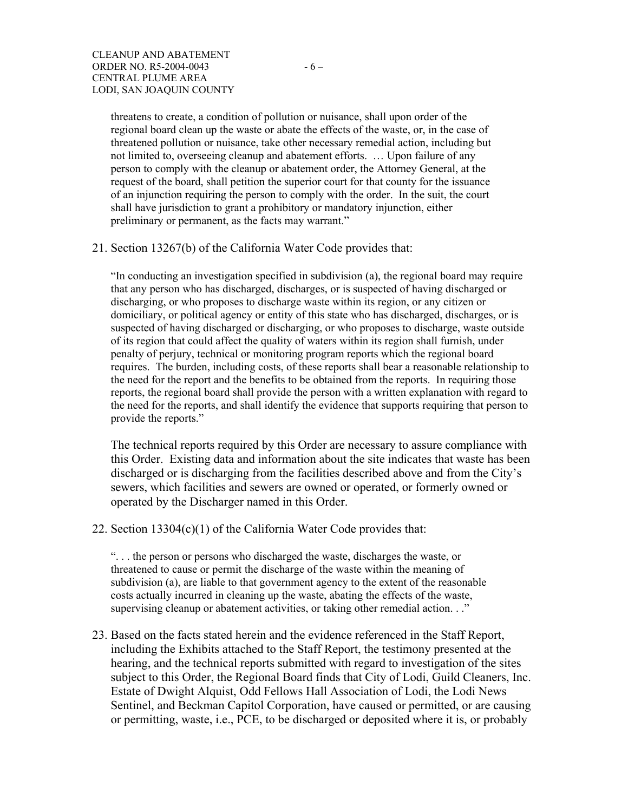threatens to create, a condition of pollution or nuisance, shall upon order of the regional board clean up the waste or abate the effects of the waste, or, in the case of threatened pollution or nuisance, take other necessary remedial action, including but not limited to, overseeing cleanup and abatement efforts. … Upon failure of any person to comply with the cleanup or abatement order, the Attorney General, at the request of the board, shall petition the superior court for that county for the issuance of an injunction requiring the person to comply with the order. In the suit, the court shall have jurisdiction to grant a prohibitory or mandatory injunction, either preliminary or permanent, as the facts may warrant."

21. Section 13267(b) of the California Water Code provides that:

"In conducting an investigation specified in subdivision (a), the regional board may require that any person who has discharged, discharges, or is suspected of having discharged or discharging, or who proposes to discharge waste within its region, or any citizen or domiciliary, or political agency or entity of this state who has discharged, discharges, or is suspected of having discharged or discharging, or who proposes to discharge, waste outside of its region that could affect the quality of waters within its region shall furnish, under penalty of perjury, technical or monitoring program reports which the regional board requires. The burden, including costs, of these reports shall bear a reasonable relationship to the need for the report and the benefits to be obtained from the reports. In requiring those reports, the regional board shall provide the person with a written explanation with regard to the need for the reports, and shall identify the evidence that supports requiring that person to provide the reports."

The technical reports required by this Order are necessary to assure compliance with this Order. Existing data and information about the site indicates that waste has been discharged or is discharging from the facilities described above and from the City's sewers, which facilities and sewers are owned or operated, or formerly owned or operated by the Discharger named in this Order.

22. Section 13304(c)(1) of the California Water Code provides that:

". . . the person or persons who discharged the waste, discharges the waste, or threatened to cause or permit the discharge of the waste within the meaning of subdivision (a), are liable to that government agency to the extent of the reasonable costs actually incurred in cleaning up the waste, abating the effects of the waste, supervising cleanup or abatement activities, or taking other remedial action. . ."

23. Based on the facts stated herein and the evidence referenced in the Staff Report, including the Exhibits attached to the Staff Report, the testimony presented at the hearing, and the technical reports submitted with regard to investigation of the sites subject to this Order, the Regional Board finds that City of Lodi, Guild Cleaners, Inc. Estate of Dwight Alquist, Odd Fellows Hall Association of Lodi, the Lodi News Sentinel, and Beckman Capitol Corporation, have caused or permitted, or are causing or permitting, waste, i.e., PCE, to be discharged or deposited where it is, or probably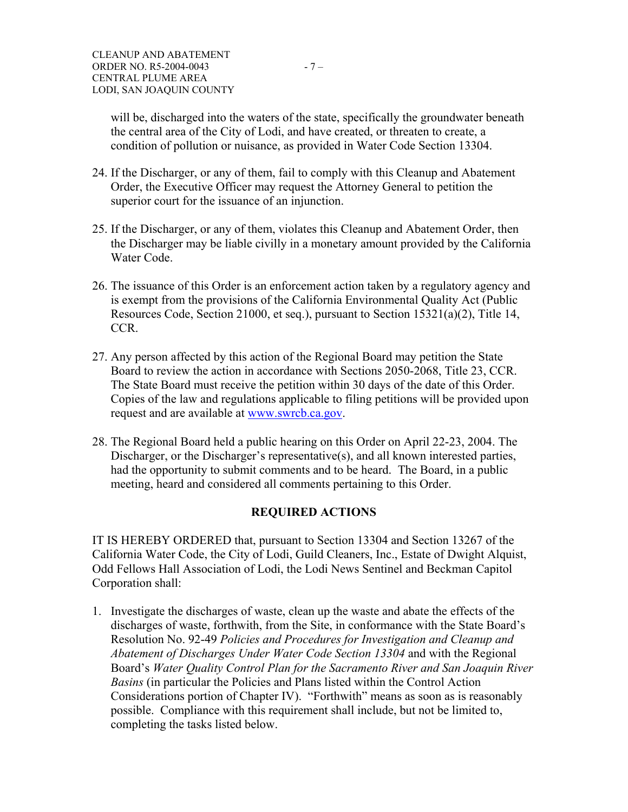will be, discharged into the waters of the state, specifically the groundwater beneath the central area of the City of Lodi, and have created, or threaten to create, a condition of pollution or nuisance, as provided in Water Code Section 13304.

- 24. If the Discharger, or any of them, fail to comply with this Cleanup and Abatement Order, the Executive Officer may request the Attorney General to petition the superior court for the issuance of an injunction.
- 25. If the Discharger, or any of them, violates this Cleanup and Abatement Order, then the Discharger may be liable civilly in a monetary amount provided by the California Water Code.
- 26. The issuance of this Order is an enforcement action taken by a regulatory agency and is exempt from the provisions of the California Environmental Quality Act (Public Resources Code, Section 21000, et seq.), pursuant to Section 15321(a)(2), Title 14, CCR.
- 27. Any person affected by this action of the Regional Board may petition the State Board to review the action in accordance with Sections 2050-2068, Title 23, CCR. The State Board must receive the petition within 30 days of the date of this Order. Copies of the law and regulations applicable to filing petitions will be provided upon request and are available at www.swrcb.ca.gov.
- 28. The Regional Board held a public hearing on this Order on April 22-23, 2004. The Discharger, or the Discharger's representative(s), and all known interested parties, had the opportunity to submit comments and to be heard. The Board, in a public meeting, heard and considered all comments pertaining to this Order.

# **REQUIRED ACTIONS**

IT IS HEREBY ORDERED that, pursuant to Section 13304 and Section 13267 of the California Water Code, the City of Lodi, Guild Cleaners, Inc., Estate of Dwight Alquist, Odd Fellows Hall Association of Lodi, the Lodi News Sentinel and Beckman Capitol Corporation shall:

1. Investigate the discharges of waste, clean up the waste and abate the effects of the discharges of waste, forthwith, from the Site, in conformance with the State Board's Resolution No. 92-49 *Policies and Procedures for Investigation and Cleanup and Abatement of Discharges Under Water Code Section 13304* and with the Regional Board's *Water Quality Control Plan for the Sacramento River and San Joaquin River Basins* (in particular the Policies and Plans listed within the Control Action Considerations portion of Chapter IV). "Forthwith" means as soon as is reasonably possible. Compliance with this requirement shall include, but not be limited to, completing the tasks listed below.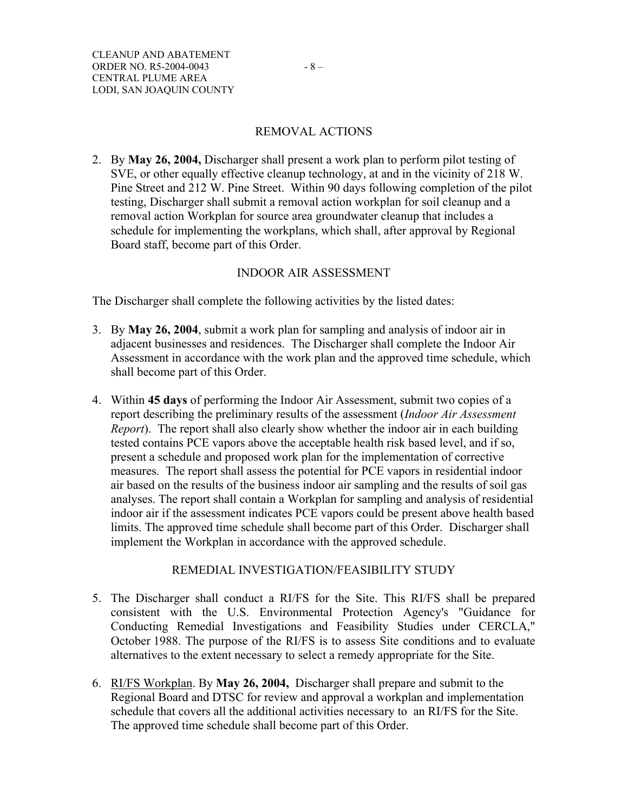### REMOVAL ACTIONS

2. By **May 26, 2004,** Discharger shall present a work plan to perform pilot testing of SVE, or other equally effective cleanup technology, at and in the vicinity of 218 W. Pine Street and 212 W. Pine Street. Within 90 days following completion of the pilot testing, Discharger shall submit a removal action workplan for soil cleanup and a removal action Workplan for source area groundwater cleanup that includes a schedule for implementing the workplans, which shall, after approval by Regional Board staff, become part of this Order.

### INDOOR AIR ASSESSMENT

The Discharger shall complete the following activities by the listed dates:

- 3. By **May 26, 2004**, submit a work plan for sampling and analysis of indoor air in adjacent businesses and residences. The Discharger shall complete the Indoor Air Assessment in accordance with the work plan and the approved time schedule, which shall become part of this Order.
- 4. Within **45 days** of performing the Indoor Air Assessment, submit two copies of a report describing the preliminary results of the assessment (*Indoor Air Assessment Report*). The report shall also clearly show whether the indoor air in each building tested contains PCE vapors above the acceptable health risk based level, and if so, present a schedule and proposed work plan for the implementation of corrective measures. The report shall assess the potential for PCE vapors in residential indoor air based on the results of the business indoor air sampling and the results of soil gas analyses. The report shall contain a Workplan for sampling and analysis of residential indoor air if the assessment indicates PCE vapors could be present above health based limits. The approved time schedule shall become part of this Order. Discharger shall implement the Workplan in accordance with the approved schedule.

### REMEDIAL INVESTIGATION/FEASIBILITY STUDY

- 5. The Discharger shall conduct a RI/FS for the Site. This RI/FS shall be prepared consistent with the U.S. Environmental Protection Agency's "Guidance for Conducting Remedial Investigations and Feasibility Studies under CERCLA," October 1988. The purpose of the RI/FS is to assess Site conditions and to evaluate alternatives to the extent necessary to select a remedy appropriate for the Site.
- 6. RI/FS Workplan. By **May 26, 2004,** Discharger shall prepare and submit to the Regional Board and DTSC for review and approval a workplan and implementation schedule that covers all the additional activities necessary to an RI/FS for the Site. The approved time schedule shall become part of this Order.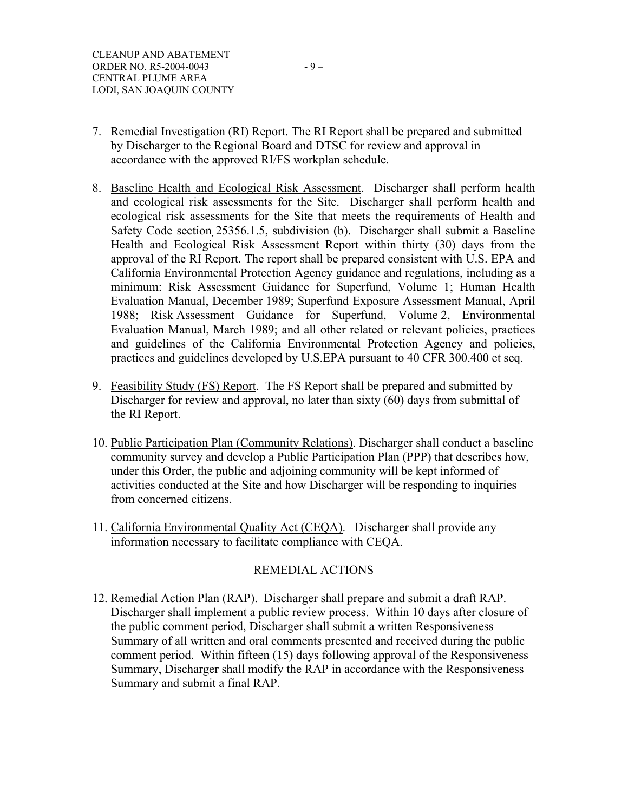- 7. Remedial Investigation (RI) Report. The RI Report shall be prepared and submitted by Discharger to the Regional Board and DTSC for review and approval in accordance with the approved RI/FS workplan schedule.
- 8. Baseline Health and Ecological Risk Assessment. Discharger shall perform health and ecological risk assessments for the Site. Discharger shall perform health and ecological risk assessments for the Site that meets the requirements of Health and Safety Code section 25356.1.5, subdivision (b). Discharger shall submit a Baseline Health and Ecological Risk Assessment Report within thirty (30) days from the approval of the RI Report. The report shall be prepared consistent with U.S. EPA and California Environmental Protection Agency guidance and regulations, including as a minimum: Risk Assessment Guidance for Superfund, Volume 1; Human Health Evaluation Manual, December 1989; Superfund Exposure Assessment Manual, April 1988; Risk Assessment Guidance for Superfund, Volume 2, Environmental Evaluation Manual, March 1989; and all other related or relevant policies, practices and guidelines of the California Environmental Protection Agency and policies, practices and guidelines developed by U.S.EPA pursuant to 40 CFR 300.400 et seq.
- 9. Feasibility Study (FS) Report. The FS Report shall be prepared and submitted by Discharger for review and approval, no later than sixty (60) days from submittal of the RI Report.
- 10. Public Participation Plan (Community Relations). Discharger shall conduct a baseline community survey and develop a Public Participation Plan (PPP) that describes how, under this Order, the public and adjoining community will be kept informed of activities conducted at the Site and how Discharger will be responding to inquiries from concerned citizens.
- 11. California Environmental Quality Act (CEQA). Discharger shall provide any information necessary to facilitate compliance with CEQA.

# REMEDIAL ACTIONS

12. Remedial Action Plan (RAP). Discharger shall prepare and submit a draft RAP. Discharger shall implement a public review process. Within 10 days after closure of the public comment period, Discharger shall submit a written Responsiveness Summary of all written and oral comments presented and received during the public comment period. Within fifteen (15) days following approval of the Responsiveness Summary, Discharger shall modify the RAP in accordance with the Responsiveness Summary and submit a final RAP.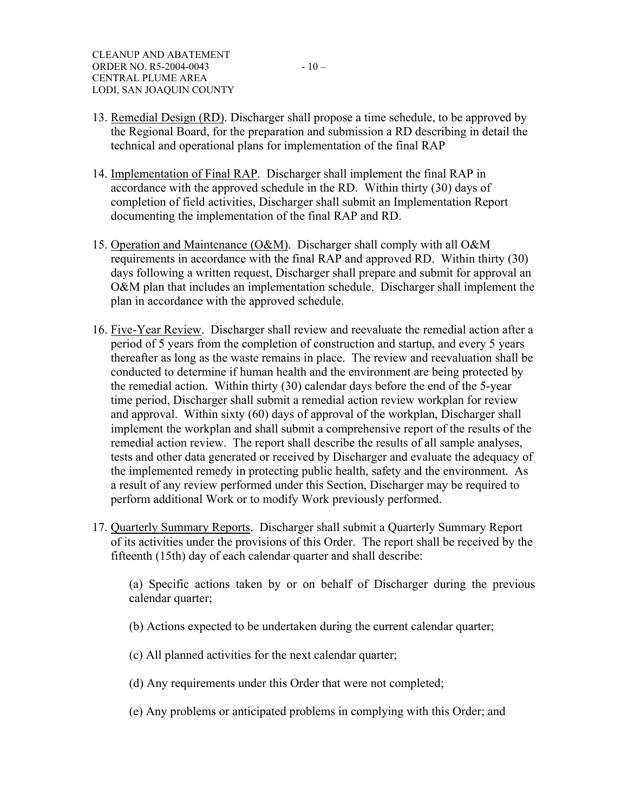- 14. Implementation of Final RAP. Discharger shall implement the final RAP in accordance with the approved schedule in the RD. Within thirty (30) days of completion of field activities, Discharger shall submit an Implementation Report documenting the implementation of the final RAP and RD.
- 15. Operation and Maintenance (O&M). Discharger shall comply with all O&M requirements in accordance with the final RAP and approved RD. Within thirty (30) days following a written request, Discharger shall prepare and submit for approval an O&M plan that includes an implementation schedule. Discharger shall implement the plan in accordance with the approved schedule.
- 16. Five-Year Review. Discharger shall review and reevaluate the remedial action after a period of 5 years from the completion of construction and startup, and every 5 years thereafter as long as the waste remains in place. The review and reevaluation shall be conducted to determine if human health and the environment are being protected by the remedial action. Within thirty (30) calendar days before the end of the 5-year time period, Discharger shall submit a remedial action review workplan for review and approval. Within sixty (60) days of approval of the workplan, Discharger shall implement the workplan and shall submit a comprehensive report of the results of the remedial action review. The report shall describe the results of all sample analyses, tests and other data generated or received by Discharger and evaluate the adequacy of the implemented remedy in protecting public health, safety and the environment. As a result of any review performed under this Section, Discharger may be required to perform additional Work or to modify Work previously performed.
- 17. Quarterly Summary Reports. Discharger shall submit a Quarterly Summary Report of its activities under the provisions of this Order. The report shall be received by the fifteenth (15th) day of each calendar quarter and shall describe:

(a) Specific actions taken by or on behalf of Discharger during the previous calendar quarter;

- (b) Actions expected to be undertaken during the current calendar quarter;
- (c) All planned activities for the next calendar quarter;
- (d) Any requirements under this Order that were not completed;
- (e) Any problems or anticipated problems in complying with this Order; and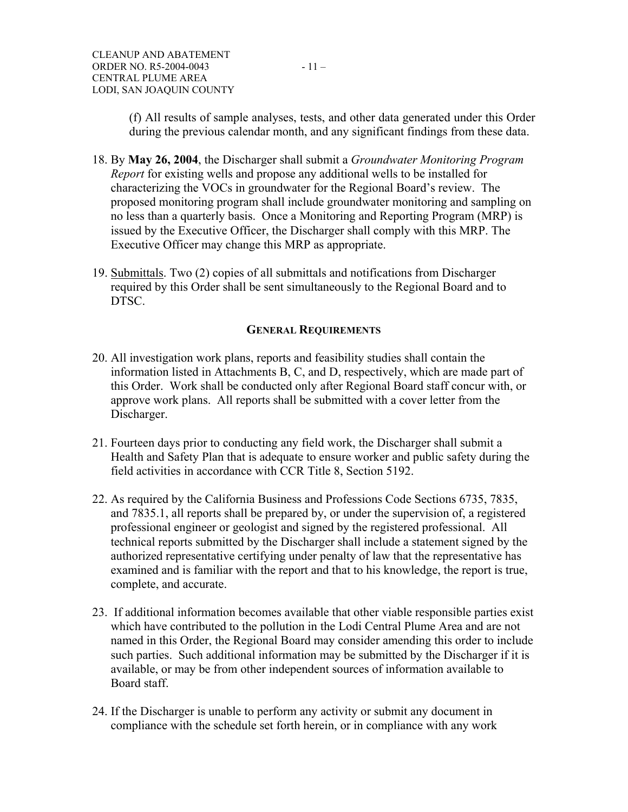(f) All results of sample analyses, tests, and other data generated under this Order during the previous calendar month, and any significant findings from these data.

- 18. By **May 26, 2004**, the Discharger shall submit a *Groundwater Monitoring Program Report* for existing wells and propose any additional wells to be installed for characterizing the VOCs in groundwater for the Regional Board's review. The proposed monitoring program shall include groundwater monitoring and sampling on no less than a quarterly basis. Once a Monitoring and Reporting Program (MRP) is issued by the Executive Officer, the Discharger shall comply with this MRP. The Executive Officer may change this MRP as appropriate.
- 19. Submittals. Two (2) copies of all submittals and notifications from Discharger required by this Order shall be sent simultaneously to the Regional Board and to DTSC.

#### **GENERAL REQUIREMENTS**

- 20. All investigation work plans, reports and feasibility studies shall contain the information listed in Attachments B, C, and D, respectively, which are made part of this Order. Work shall be conducted only after Regional Board staff concur with, or approve work plans. All reports shall be submitted with a cover letter from the Discharger.
- 21. Fourteen days prior to conducting any field work, the Discharger shall submit a Health and Safety Plan that is adequate to ensure worker and public safety during the field activities in accordance with CCR Title 8, Section 5192.
- 22. As required by the California Business and Professions Code Sections 6735, 7835, and 7835.1, all reports shall be prepared by, or under the supervision of, a registered professional engineer or geologist and signed by the registered professional. All technical reports submitted by the Discharger shall include a statement signed by the authorized representative certifying under penalty of law that the representative has examined and is familiar with the report and that to his knowledge, the report is true, complete, and accurate.
- 23. If additional information becomes available that other viable responsible parties exist which have contributed to the pollution in the Lodi Central Plume Area and are not named in this Order, the Regional Board may consider amending this order to include such parties. Such additional information may be submitted by the Discharger if it is available, or may be from other independent sources of information available to Board staff.
- 24. If the Discharger is unable to perform any activity or submit any document in compliance with the schedule set forth herein, or in compliance with any work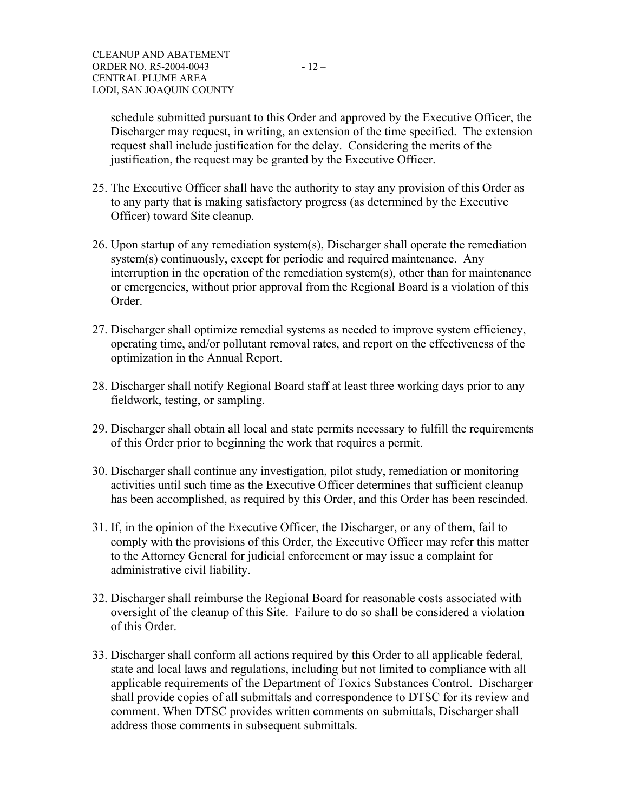schedule submitted pursuant to this Order and approved by the Executive Officer, the Discharger may request, in writing, an extension of the time specified. The extension request shall include justification for the delay. Considering the merits of the justification, the request may be granted by the Executive Officer.

- 25. The Executive Officer shall have the authority to stay any provision of this Order as to any party that is making satisfactory progress (as determined by the Executive Officer) toward Site cleanup.
- 26. Upon startup of any remediation system(s), Discharger shall operate the remediation system(s) continuously, except for periodic and required maintenance. Any interruption in the operation of the remediation system(s), other than for maintenance or emergencies, without prior approval from the Regional Board is a violation of this Order.
- 27. Discharger shall optimize remedial systems as needed to improve system efficiency, operating time, and/or pollutant removal rates, and report on the effectiveness of the optimization in the Annual Report.
- 28. Discharger shall notify Regional Board staff at least three working days prior to any fieldwork, testing, or sampling.
- 29. Discharger shall obtain all local and state permits necessary to fulfill the requirements of this Order prior to beginning the work that requires a permit.
- 30. Discharger shall continue any investigation, pilot study, remediation or monitoring activities until such time as the Executive Officer determines that sufficient cleanup has been accomplished, as required by this Order, and this Order has been rescinded.
- 31. If, in the opinion of the Executive Officer, the Discharger, or any of them, fail to comply with the provisions of this Order, the Executive Officer may refer this matter to the Attorney General for judicial enforcement or may issue a complaint for administrative civil liability.
- 32. Discharger shall reimburse the Regional Board for reasonable costs associated with oversight of the cleanup of this Site. Failure to do so shall be considered a violation of this Order.
- 33. Discharger shall conform all actions required by this Order to all applicable federal, state and local laws and regulations, including but not limited to compliance with all applicable requirements of the Department of Toxics Substances Control. Discharger shall provide copies of all submittals and correspondence to DTSC for its review and comment. When DTSC provides written comments on submittals, Discharger shall address those comments in subsequent submittals.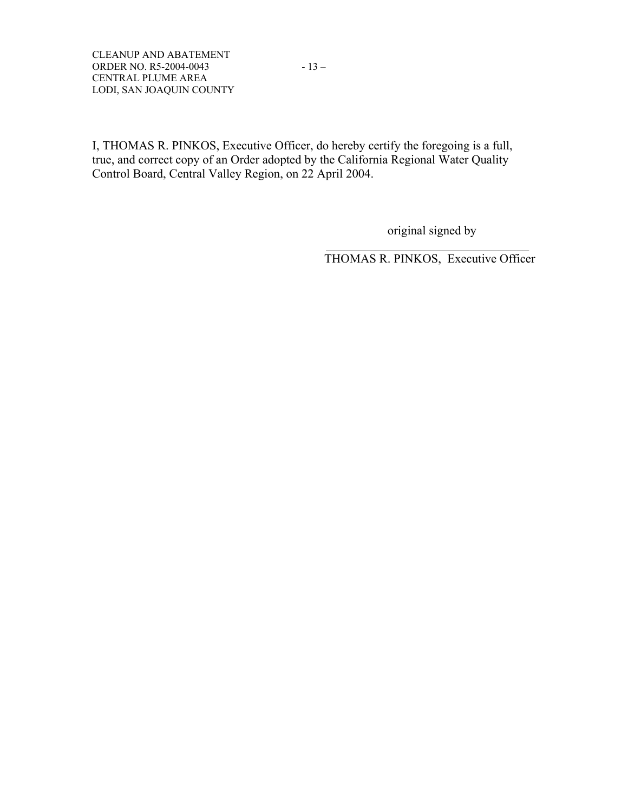I, THOMAS R. PINKOS, Executive Officer, do hereby certify the foregoing is a full, true, and correct copy of an Order adopted by the California Regional Water Quality Control Board, Central Valley Region, on 22 April 2004.

 $\mathcal{L}_\text{max}$  and the contract of the contract of the contract of the contract of the contract of the contract of the contract of the contract of the contract of the contract of the contract of the contract of the contrac

original signed by

THOMAS R. PINKOS, Executive Officer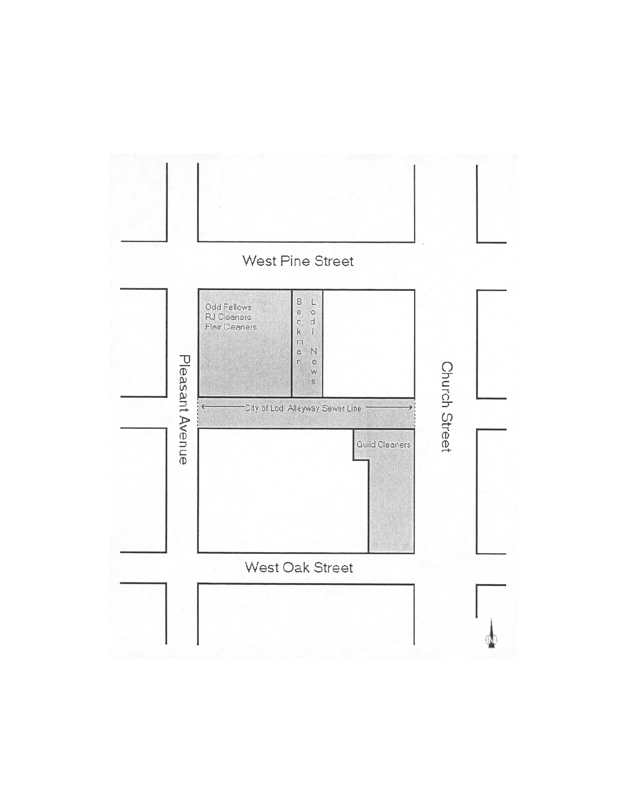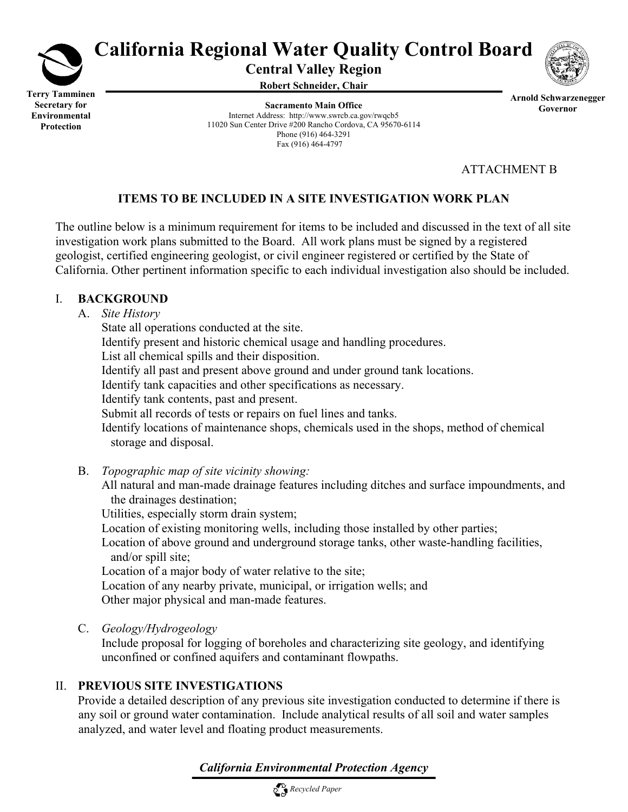

**Protection** 

# **California Regional Water Quality Control Board**

**Central Valley Region** 

**Robert Schneider, Chair**



**Arnold Schwarzenegger Governor**

**Sacramento Main Office** Internet Address: http://www.swrcb.ca.gov/rwqcb5 11020 Sun Center Drive #200 Rancho Cordova, CA 95670-6114 Phone (916) 464-3291 Fax (916) 464-4797

ATTACHMENT B

# **ITEMS TO BE INCLUDED IN A SITE INVESTIGATION WORK PLAN**

The outline below is a minimum requirement for items to be included and discussed in the text of all site investigation work plans submitted to the Board. All work plans must be signed by a registered geologist, certified engineering geologist, or civil engineer registered or certified by the State of California. Other pertinent information specific to each individual investigation also should be included.

## I. **BACKGROUND**

## A. *Site History*

 State all operations conducted at the site. Identify present and historic chemical usage and handling procedures. List all chemical spills and their disposition. Identify all past and present above ground and under ground tank locations. Identify tank capacities and other specifications as necessary. Identify tank contents, past and present. Submit all records of tests or repairs on fuel lines and tanks. Identify locations of maintenance shops, chemicals used in the shops, method of chemical storage and disposal.

B. *Topographic map of site vicinity showing:*

 All natural and man-made drainage features including ditches and surface impoundments, and the drainages destination;

Utilities, especially storm drain system;

Location of existing monitoring wells, including those installed by other parties;

 Location of above ground and underground storage tanks, other waste-handling facilities, and/or spill site;

Location of a major body of water relative to the site;

 Location of any nearby private, municipal, or irrigation wells; and Other major physical and man-made features.

C. *Geology/Hydrogeology*

 Include proposal for logging of boreholes and characterizing site geology, and identifying unconfined or confined aquifers and contaminant flowpaths.

# II. **PREVIOUS SITE INVESTIGATIONS**

 Provide a detailed description of any previous site investigation conducted to determine if there is any soil or ground water contamination. Include analytical results of all soil and water samples analyzed, and water level and floating product measurements.

*California Environmental Protection Agency*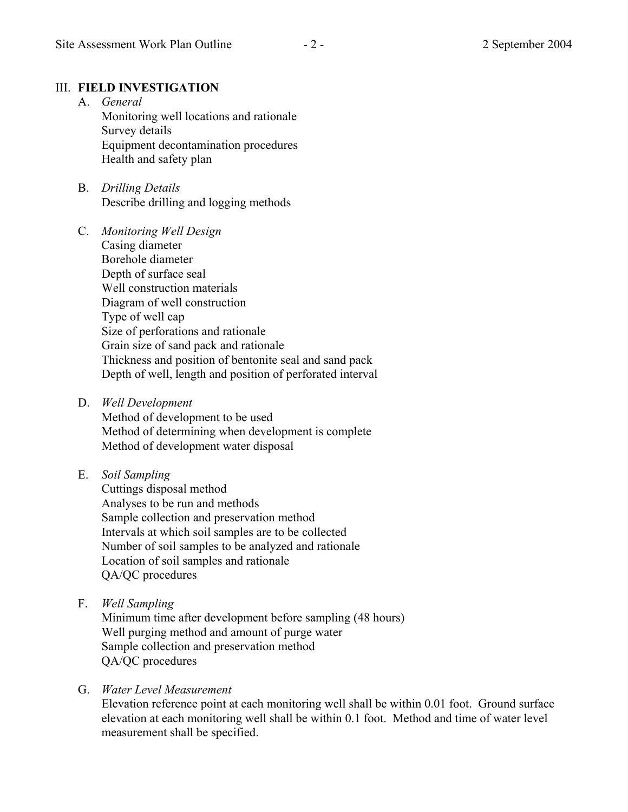# III. **FIELD INVESTIGATION**

- A. *General* Monitoring well locations and rationale Survey details Equipment decontamination procedures Health and safety plan
- B. *Drilling Details* Describe drilling and logging methods
- C. *Monitoring Well Design* Casing diameter Borehole diameter Depth of surface seal Well construction materials Diagram of well construction Type of well cap Size of perforations and rationale Grain size of sand pack and rationale Thickness and position of bentonite seal and sand pack Depth of well, length and position of perforated interval
- D. *Well Development*

 Method of development to be used Method of determining when development is complete Method of development water disposal

E. *Soil Sampling*

 Cuttings disposal method Analyses to be run and methods Sample collection and preservation method Intervals at which soil samples are to be collected Number of soil samples to be analyzed and rationale Location of soil samples and rationale QA/QC procedures

F. *Well Sampling*

 Minimum time after development before sampling (48 hours) Well purging method and amount of purge water Sample collection and preservation method QA/QC procedures

# G. *Water Level Measurement*

 Elevation reference point at each monitoring well shall be within 0.01 foot. Ground surface elevation at each monitoring well shall be within 0.1 foot. Method and time of water level measurement shall be specified.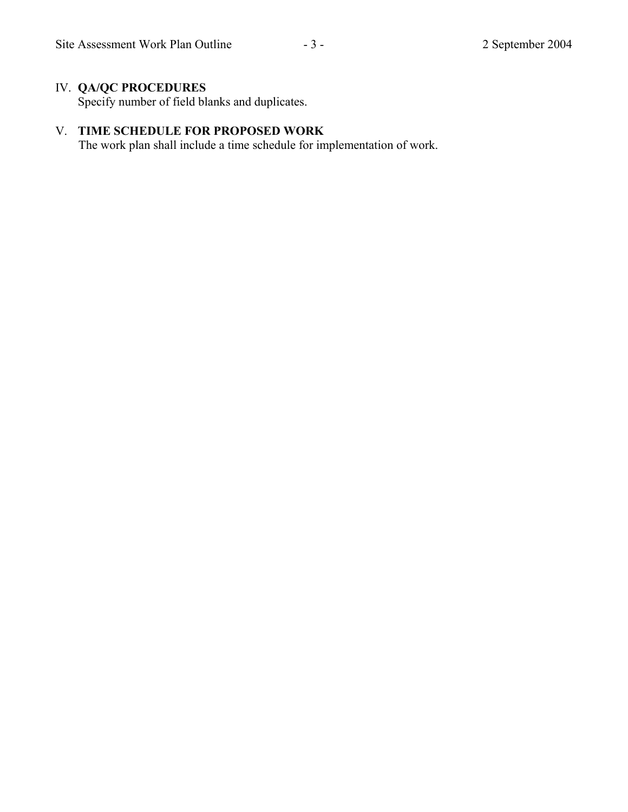# IV. **QA/QC PROCEDURES**

Specify number of field blanks and duplicates.

# V. **TIME SCHEDULE FOR PROPOSED WORK**

The work plan shall include a time schedule for implementation of work.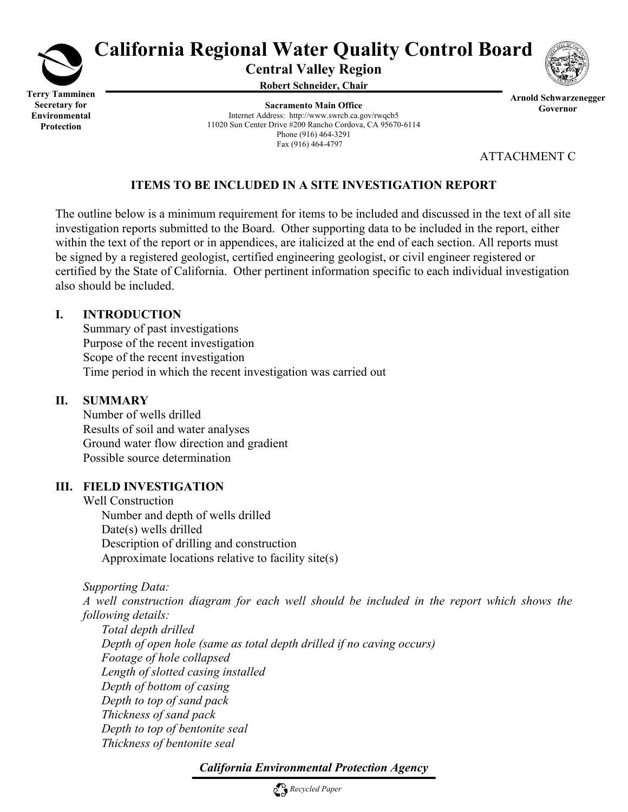

# **California Regional Water Quality Control Board**

**Central Valley Region** 

**Robert Schneider, Chair**

**Sacramento Main Office** Internet Address: http://www.swrcb.ca.gov/rwqcb5 11020 Sun Center Drive #200 Rancho Cordova, CA 95670-6114 Phone (916) 464-3291 Fax (916) 464-4797



**Arnold Schwarzenegger Governor**

ATTACHMENT C

# **ITEMS TO BE INCLUDED IN A SITE INVESTIGATION REPORT**

The outline below is a minimum requirement for items to be included and discussed in the text of all site investigation reports submitted to the Board. Other supporting data to be included in the report, either within the text of the report or in appendices, are italicized at the end of each section. All reports must be signed by a registered geologist, certified engineering geologist, or civil engineer registered or certified by the State of California. Other pertinent information specific to each individual investigation also should be included.

## **I. INTRODUCTION**

 Summary of past investigations Purpose of the recent investigation Scope of the recent investigation Time period in which the recent investigation was carried out

# **II. SUMMARY**

 Number of wells drilled Results of soil and water analyses Ground water flow direction and gradient Possible source determination

# **III. FIELD INVESTIGATION**

 Well Construction Number and depth of wells drilled Date(s) wells drilled Description of drilling and construction Approximate locations relative to facility site(s)

*Supporting Data:* 

 *A well construction diagram for each well should be included in the report which shows the following details:* 

 *Total depth drilled Depth of open hole (same as total depth drilled if no caving occurs) Footage of hole collapsed Length of slotted casing installed Depth of bottom of casing Depth to top of sand pack Thickness of sand pack Depth to top of bentonite seal Thickness of bentonite seal* 

# *California Environmental Protection Agency*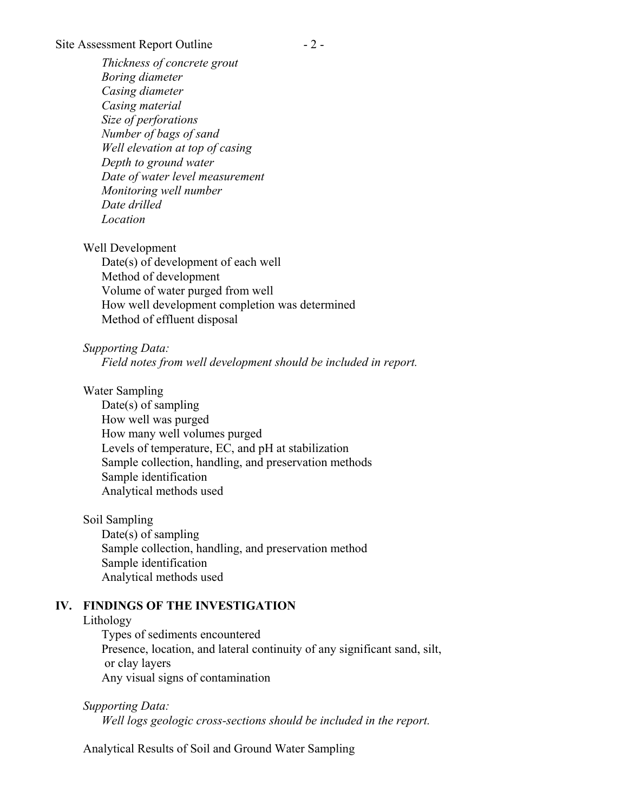#### Site Assessment Report Outline - 2 -

 *Thickness of concrete grout Boring diameter Casing diameter Casing material Size of perforations Number of bags of sand Well elevation at top of casing Depth to ground water Date of water level measurement Monitoring well number Date drilled Location*

Well Development

 Date(s) of development of each well Method of development Volume of water purged from well How well development completion was determined Method of effluent disposal

*Supporting Data:* 

 *Field notes from well development should be included in report.*

Water Sampling

 Date(s) of sampling How well was purged How many well volumes purged Levels of temperature, EC, and pH at stabilization Sample collection, handling, and preservation methods Sample identification Analytical methods used

Soil Sampling

 Date(s) of sampling Sample collection, handling, and preservation method Sample identification Analytical methods used

### **IV. FINDINGS OF THE INVESTIGATION**

#### Lithology

 Types of sediments encountered Presence, location, and lateral continuity of any significant sand, silt, or clay layers Any visual signs of contamination

*Supporting Data: Well logs geologic cross-sections should be included in the report.*

Analytical Results of Soil and Ground Water Sampling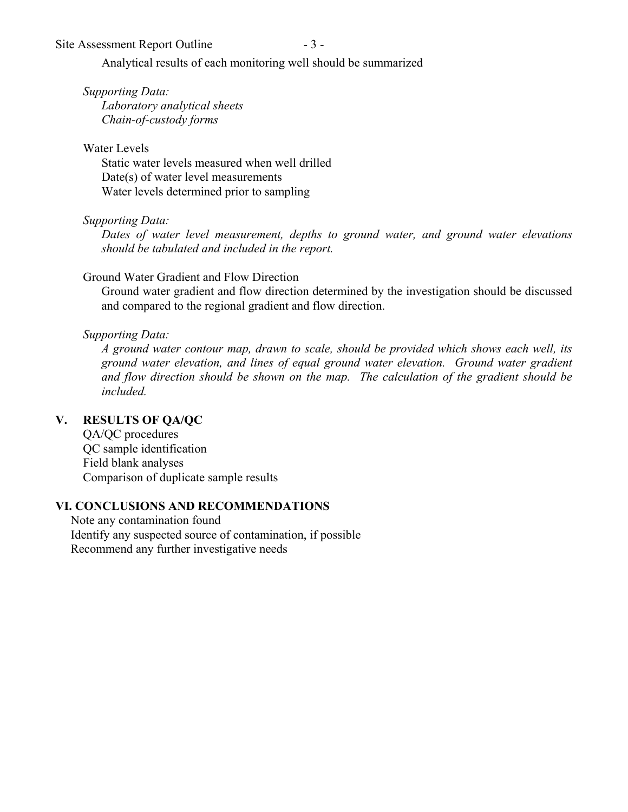Site Assessment Report Outline - 3 -

Analytical results of each monitoring well should be summarized

*Supporting Data:* 

 *Laboratory analytical sheets Chain-of-custody forms* 

Water Levels

 Static water levels measured when well drilled Date(s) of water level measurements Water levels determined prior to sampling

*Supporting Data:* 

 *Dates of water level measurement, depths to ground water, and ground water elevations should be tabulated and included in the report.*

# Ground Water Gradient and Flow Direction

 Ground water gradient and flow direction determined by the investigation should be discussed and compared to the regional gradient and flow direction.

# *Supporting Data:*

 *A ground water contour map, drawn to scale, should be provided which shows each well, its ground water elevation, and lines of equal ground water elevation. Ground water gradient and flow direction should be shown on the map. The calculation of the gradient should be included.*

# **V. RESULTS OF QA/QC**

 QA/QC procedures QC sample identification Field blank analyses Comparison of duplicate sample results

# **VI. CONCLUSIONS AND RECOMMENDATIONS**

 Note any contamination found Identify any suspected source of contamination, if possible Recommend any further investigative needs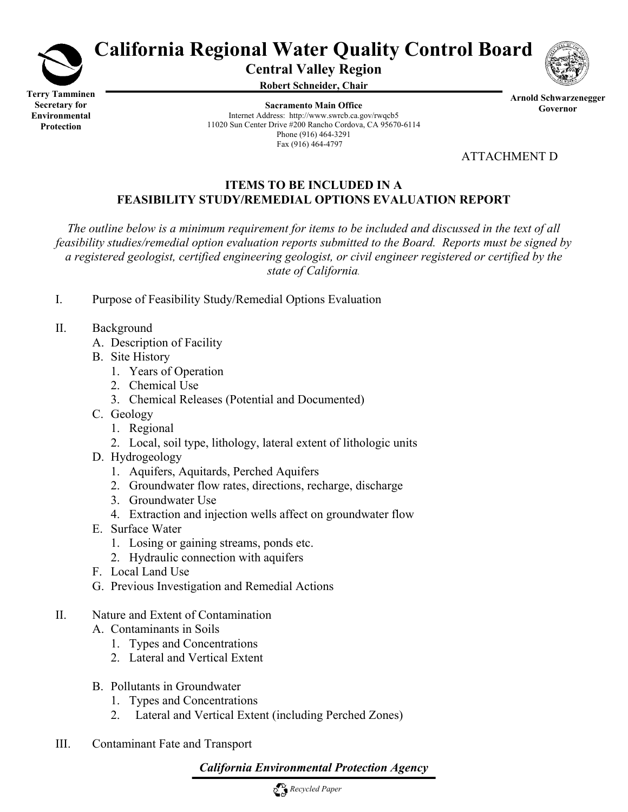

# **California Regional Water Quality Control Board**

**Central Valley Region** 

**Robert Schneider, Chair**

**Sacramento Main Office** Internet Address: http://www.swrcb.ca.gov/rwqcb5 11020 Sun Center Drive #200 Rancho Cordova, CA 95670-6114 Phone (916) 464-3291 Fax (916) 464-4797



ATTACHMENT D

## **ITEMS TO BE INCLUDED IN A FEASIBILITY STUDY/REMEDIAL OPTIONS EVALUATION REPORT**

*The outline below is a minimum requirement for items to be included and discussed in the text of all feasibility studies/remedial option evaluation reports submitted to the Board. Reports must be signed by a registered geologist, certified engineering geologist, or civil engineer registered or certified by the state of California.*

- I. Purpose of Feasibility Study/Remedial Options Evaluation
- II. Background
	- A. Description of Facility
	- B. Site History
		- 1. Years of Operation
		- 2. Chemical Use
		- 3. Chemical Releases (Potential and Documented)
	- C. Geology
		- 1. Regional
		- 2. Local, soil type, lithology, lateral extent of lithologic units
	- D. Hydrogeology
		- 1. Aquifers, Aquitards, Perched Aquifers
		- 2. Groundwater flow rates, directions, recharge, discharge
		- 3. Groundwater Use
		- 4. Extraction and injection wells affect on groundwater flow
	- E. Surface Water
		- 1. Losing or gaining streams, ponds etc.
		- 2. Hydraulic connection with aquifers
	- F. Local Land Use
	- G. Previous Investigation and Remedial Actions
- II. Nature and Extent of Contamination
	- A. Contaminants in Soils
		- 1. Types and Concentrations
		- 2. Lateral and Vertical Extent
	- B. Pollutants in Groundwater
		- 1. Types and Concentrations
		- 2. Lateral and Vertical Extent (including Perched Zones)
- III. Contaminant Fate and Transport

# *California Environmental Protection Agency*